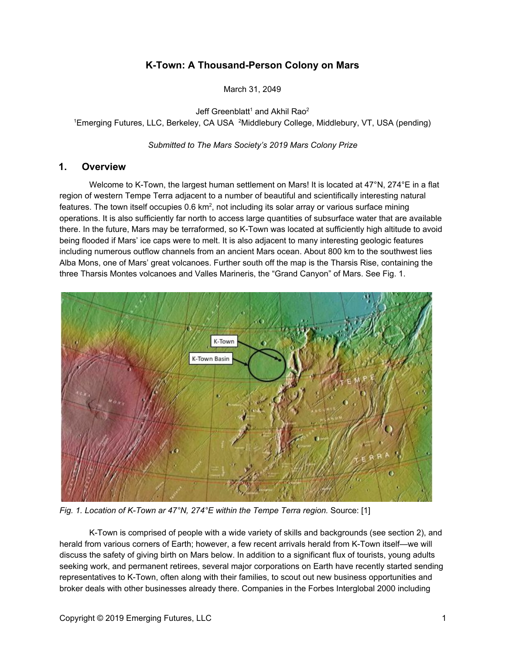# **K-Town: A Thousand-Person Colony on Mars**

March 31, 2049

Jeff Greenblatt<sup>1</sup> and Akhil Rao<sup>2</sup> <sup>1</sup>Emerging Futures, LLC, Berkeley, CA USA <sup>2</sup>Middlebury College, Middlebury, VT, USA (pending)

*Submitted to The Mars Society's 2019 Mars Colony Prize*

## **1. Overview**

Welcome to K-Town, the largest human settlement on Mars! It is located at 47°N, 274°E in a flat region of western Tempe Terra adjacent to a number of beautiful and scientifically interesting natural features. The town itself occupies 0.6 km<sup>2</sup>, not including its solar array or various surface mining operations. It is also sufficiently far north to access large quantities of subsurface water that are available there. In the future, Mars may be terraformed, so K-Town was located at sufficiently high altitude to avoid being flooded if Mars' ice caps were to melt. It is also adjacent to many interesting geologic features including numerous outflow channels from an ancient Mars ocean. About 800 km to the southwest lies Alba Mons, one of Mars' great volcanoes. Further south off the map is the Tharsis Rise, containing the three Tharsis Montes volcanoes and Valles Marineris, the "Grand Canyon" of Mars. See Fig. 1.



*Fig. 1. Location of K-Town ar 47°N, 274°E within the Tempe Terra region.* Source: [1]

K-Town is comprised of people with a wide variety of skills and backgrounds (see section 2), and herald from various corners of Earth; however, a few recent arrivals herald from K-Town itself—we will discuss the safety of giving birth on Mars below. In addition to a significant flux of tourists, young adults seeking work, and permanent retirees, several major corporations on Earth have recently started sending representatives to K-Town, often along with their families, to scout out new business opportunities and broker deals with other businesses already there. Companies in the Forbes Interglobal 2000 including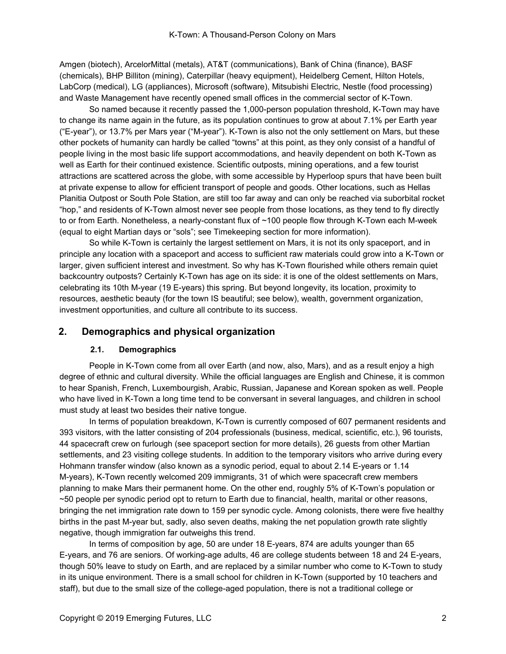Amgen (biotech), ArcelorMittal (metals), AT&T (communications), Bank of China (finance), BASF (chemicals), BHP Billiton (mining), Caterpillar (heavy equipment), Heidelberg Cement, Hilton Hotels, LabCorp (medical), LG (appliances), Microsoft (software), Mitsubishi Electric, Nestle (food processing) and Waste Management have recently opened small offices in the commercial sector of K-Town.

So named because it recently passed the 1,000-person population threshold, K-Town may have to change its name again in the future, as its population continues to grow at about 7.1% per Earth year ("E-year"), or 13.7% per Mars year ("M-year"). K-Town is also not the only settlement on Mars, but these other pockets of humanity can hardly be called "towns" at this point, as they only consist of a handful of people living in the most basic life support accommodations, and heavily dependent on both K-Town as well as Earth for their continued existence. Scientific outposts, mining operations, and a few tourist attractions are scattered across the globe, with some accessible by Hyperloop spurs that have been built at private expense to allow for efficient transport of people and goods. Other locations, such as Hellas Planitia Outpost or South Pole Station, are still too far away and can only be reached via suborbital rocket "hop," and residents of K-Town almost never see people from those locations, as they tend to fly directly to or from Earth. Nonetheless, a nearly-constant flux of ~100 people flow through K-Town each M-week (equal to eight Martian days or "sols"; see Timekeeping section for more information).

So while K-Town is certainly the largest settlement on Mars, it is not its only spaceport, and in principle any location with a spaceport and access to sufficient raw materials could grow into a K-Town or larger, given sufficient interest and investment. So why has K-Town flourished while others remain quiet backcountry outposts? Certainly K-Town has age on its side: it is one of the oldest settlements on Mars, celebrating its 10th M-year (19 E-years) this spring. But beyond longevity, its location, proximity to resources, aesthetic beauty (for the town IS beautiful; see below), wealth, government organization, investment opportunities, and culture all contribute to its success.

# **2. Demographics and physical organization**

## **2.1. Demographics**

People in K-Town come from all over Earth (and now, also, Mars), and as a result enjoy a high degree of ethnic and cultural diversity. While the official languages are English and Chinese, it is common to hear Spanish, French, Luxembourgish, Arabic, Russian, Japanese and Korean spoken as well. People who have lived in K-Town a long time tend to be conversant in several languages, and children in school must study at least two besides their native tongue.

In terms of population breakdown, K-Town is currently composed of 607 permanent residents and 393 visitors, with the latter consisting of 204 professionals (business, medical, scientific, etc.), 96 tourists, 44 spacecraft crew on furlough (see spaceport section for more details), 26 guests from other Martian settlements, and 23 visiting college students. In addition to the temporary visitors who arrive during every Hohmann transfer window (also known as a synodic period, equal to about 2.14 E-years or 1.14 M-years), K-Town recently welcomed 209 immigrants, 31 of which were spacecraft crew members planning to make Mars their permanent home. On the other end, roughly 5% of K-Town's population or ~50 people per synodic period opt to return to Earth due to financial, health, marital or other reasons, bringing the net immigration rate down to 159 per synodic cycle. Among colonists, there were five healthy births in the past M-year but, sadly, also seven deaths, making the net population growth rate slightly negative, though immigration far outweighs this trend.

In terms of composition by age, 50 are under 18 E-years, 874 are adults younger than 65 E-years, and 76 are seniors. Of working-age adults, 46 are college students between 18 and 24 E-years, though 50% leave to study on Earth, and are replaced by a similar number who come to K-Town to study in its unique environment. There is a small school for children in K-Town (supported by 10 teachers and staff), but due to the small size of the college-aged population, there is not a traditional college or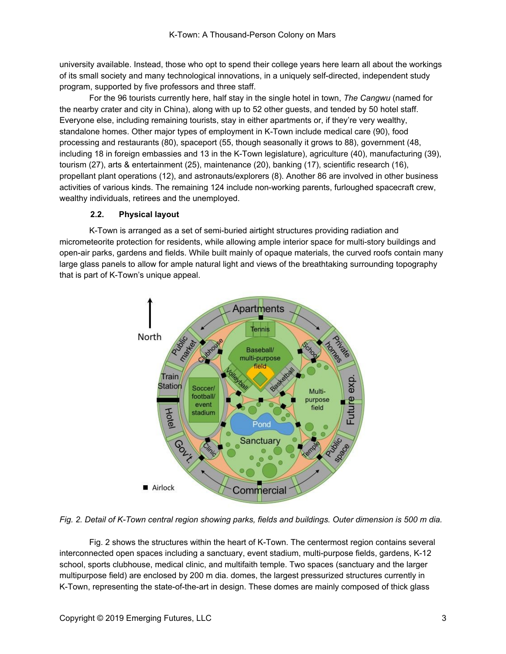university available. Instead, those who opt to spend their college years here learn all about the workings of its small society and many technological innovations, in a uniquely self-directed, independent study program, supported by five professors and three staff.

For the 96 tourists currently here, half stay in the single hotel in town, *The Cangwu* (named for the nearby crater and city in China), along with up to 52 other guests, and tended by 50 hotel staff. Everyone else, including remaining tourists, stay in either apartments or, if they're very wealthy, standalone homes. Other major types of employment in K-Town include medical care (90), food processing and restaurants (80), spaceport (55, though seasonally it grows to 88), government (48, including 18 in foreign embassies and 13 in the K-Town legislature), agriculture (40), manufacturing (39), tourism (27), arts & entertainment (25), maintenance (20), banking (17), scientific research (16), propellant plant operations (12), and astronauts/explorers (8). Another 86 are involved in other business activities of various kinds. The remaining 124 include non-working parents, furloughed spacecraft crew, wealthy individuals, retirees and the unemployed.

### **2.2. Physical layout**

K-Town is arranged as a set of semi-buried airtight structures providing radiation and micrometeorite protection for residents, while allowing ample interior space for multi-story buildings and open-air parks, gardens and fields. While built mainly of opaque materials, the curved roofs contain many large glass panels to allow for ample natural light and views of the breathtaking surrounding topography that is part of K-Town's unique appeal.



Fig. 2. Detail of K-Town central region showing parks, fields and buildings. Outer dimension is 500 m dia.

Fig. 2 shows the structures within the heart of K-Town. The centermost region contains several interconnected open spaces including a sanctuary, event stadium, multi-purpose fields, gardens, K-12 school, sports clubhouse, medical clinic, and multifaith temple. Two spaces (sanctuary and the larger multipurpose field) are enclosed by 200 m dia. domes, the largest pressurized structures currently in K-Town, representing the state-of-the-art in design. These domes are mainly composed of thick glass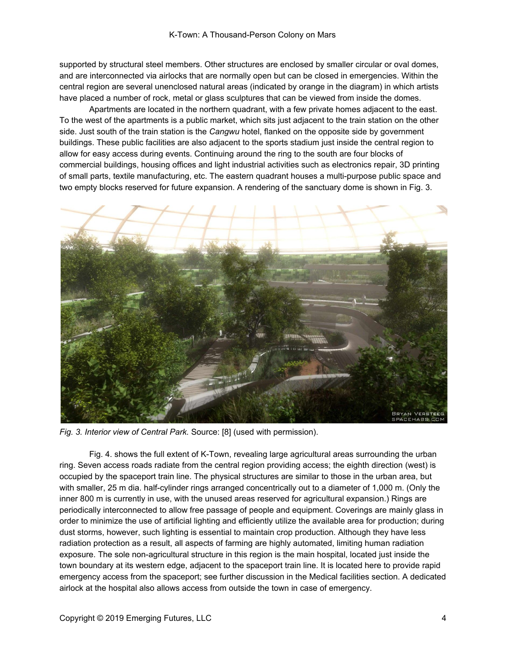supported by structural steel members. Other structures are enclosed by smaller circular or oval domes, and are interconnected via airlocks that are normally open but can be closed in emergencies. Within the central region are several unenclosed natural areas (indicated by orange in the diagram) in which artists have placed a number of rock, metal or glass sculptures that can be viewed from inside the domes.

Apartments are located in the northern quadrant, with a few private homes adjacent to the east. To the west of the apartments is a public market, which sits just adjacent to the train station on the other side. Just south of the train station is the *Cangwu* hotel, flanked on the opposite side by government buildings. These public facilities are also adjacent to the sports stadium just inside the central region to allow for easy access during events. Continuing around the ring to the south are four blocks of commercial buildings, housing offices and light industrial activities such as electronics repair, 3D printing of small parts, textile manufacturing, etc. The eastern quadrant houses a multi-purpose public space and two empty blocks reserved for future expansion. A rendering of the sanctuary dome is shown in Fig. 3.



*Fig. 3. Interior view of Central Park.* Source: [8] (used with permission).

Fig. 4. shows the full extent of K-Town, revealing large agricultural areas surrounding the urban ring. Seven access roads radiate from the central region providing access; the eighth direction (west) is occupied by the spaceport train line. The physical structures are similar to those in the urban area, but with smaller, 25 m dia. half-cylinder rings arranged concentrically out to a diameter of 1,000 m. (Only the inner 800 m is currently in use, with the unused areas reserved for agricultural expansion.) Rings are periodically interconnected to allow free passage of people and equipment. Coverings are mainly glass in order to minimize the use of artificial lighting and efficiently utilize the available area for production; during dust storms, however, such lighting is essential to maintain crop production. Although they have less radiation protection as a result, all aspects of farming are highly automated, limiting human radiation exposure. The sole non-agricultural structure in this region is the main hospital, located just inside the town boundary at its western edge, adjacent to the spaceport train line. It is located here to provide rapid emergency access from the spaceport; see further discussion in the Medical facilities section. A dedicated airlock at the hospital also allows access from outside the town in case of emergency.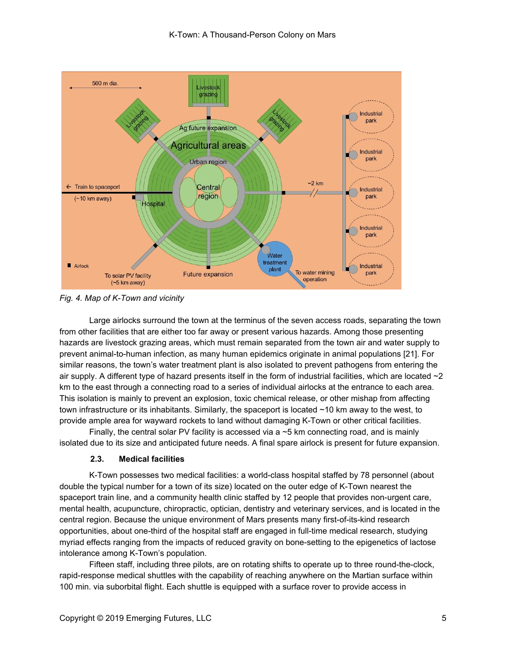

*Fig. 4. Map of K-Town and vicinity*

Large airlocks surround the town at the terminus of the seven access roads, separating the town from other facilities that are either too far away or present various hazards. Among those presenting hazards are livestock grazing areas, which must remain separated from the town air and water supply to prevent animal-to-human infection, as many human epidemics originate in animal populations [21]. For similar reasons, the town's water treatment plant is also isolated to prevent pathogens from entering the air supply. A different type of hazard presents itself in the form of industrial facilities, which are located  $\sim$ 2 km to the east through a connecting road to a series of individual airlocks at the entrance to each area. This isolation is mainly to prevent an explosion, toxic chemical release, or other mishap from affecting town infrastructure or its inhabitants. Similarly, the spaceport is located ~10 km away to the west, to provide ample area for wayward rockets to land without damaging K-Town or other critical facilities.

Finally, the central solar PV facility is accessed via  $a \sim 5$  km connecting road, and is mainly isolated due to its size and anticipated future needs. A final spare airlock is present for future expansion.

## **2.3. Medical facilities**

K-Town possesses two medical facilities: a world-class hospital staffed by 78 personnel (about double the typical number for a town of its size) located on the outer edge of K-Town nearest the spaceport train line, and a community health clinic staffed by 12 people that provides non-urgent care, mental health, acupuncture, chiropractic, optician, dentistry and veterinary services, and is located in the central region. Because the unique environment of Mars presents many first-of-its-kind research opportunities, about one-third of the hospital staff are engaged in full-time medical research, studying myriad effects ranging from the impacts of reduced gravity on bone-setting to the epigenetics of lactose intolerance among K-Town's population.

Fifteen staff, including three pilots, are on rotating shifts to operate up to three round-the-clock, rapid-response medical shuttles with the capability of reaching anywhere on the Martian surface within 100 min. via suborbital flight. Each shuttle is equipped with a surface rover to provide access in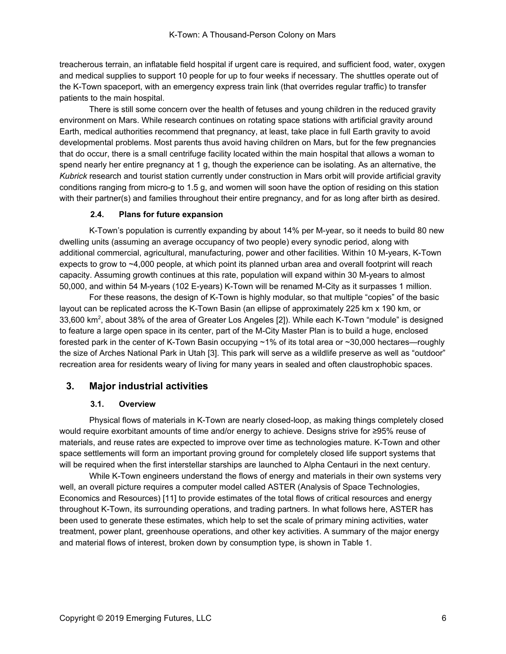treacherous terrain, an inflatable field hospital if urgent care is required, and sufficient food, water, oxygen and medical supplies to support 10 people for up to four weeks if necessary. The shuttles operate out of the K-Town spaceport, with an emergency express train link (that overrides regular traffic) to transfer patients to the main hospital.

There is still some concern over the health of fetuses and young children in the reduced gravity environment on Mars. While research continues on rotating space stations with artificial gravity around Earth, medical authorities recommend that pregnancy, at least, take place in full Earth gravity to avoid developmental problems. Most parents thus avoid having children on Mars, but for the few pregnancies that do occur, there is a small centrifuge facility located within the main hospital that allows a woman to spend nearly her entire pregnancy at 1 g, though the experience can be isolating. As an alternative, the *Kubrick* research and tourist station currently under construction in Mars orbit will provide artificial gravity conditions ranging from micro-g to 1.5 g, and women will soon have the option of residing on this station with their partner(s) and families throughout their entire pregnancy, and for as long after birth as desired.

### **2.4. Plans for future expansion**

K-Town's population is currently expanding by about 14% per M-year, so it needs to build 80 new dwelling units (assuming an average occupancy of two people) every synodic period, along with additional commercial, agricultural, manufacturing, power and other facilities. Within 10 M-years, K-Town expects to grow to ~4,000 people, at which point its planned urban area and overall footprint will reach capacity. Assuming growth continues at this rate, population will expand within 30 M-years to almost 50,000, and within 54 M-years (102 E-years) K-Town will be renamed M-City as it surpasses 1 million.

For these reasons, the design of K-Town is highly modular, so that multiple "copies" of the basic layout can be replicated across the K-Town Basin (an ellipse of approximately 225 km x 190 km, or 33,600 km<sup>2</sup>, about 38% of the area of Greater Los Angeles [2]). While each K-Town "module" is designed to feature a large open space in its center, part of the M-City Master Plan is to build a huge, enclosed forested park in the center of K-Town Basin occupying ~1% of its total area or ~30,000 hectares—roughly the size of Arches National Park in Utah [3]. This park will serve as a wildlife preserve as well as "outdoor" recreation area for residents weary of living for many years in sealed and often claustrophobic spaces.

# **3. Major industrial activities**

## **3.1. Overview**

Physical flows of materials in K-Town are nearly closed-loop, as making things completely closed would require exorbitant amounts of time and/or energy to achieve. Designs strive for ≥95% reuse of materials, and reuse rates are expected to improve over time as technologies mature. K-Town and other space settlements will form an important proving ground for completely closed life support systems that will be required when the first interstellar starships are launched to Alpha Centauri in the next century.

While K-Town engineers understand the flows of energy and materials in their own systems very well, an overall picture requires a computer model called ASTER (Analysis of Space Technologies, Economics and Resources) [11] to provide estimates of the total flows of critical resources and energy throughout K-Town, its surrounding operations, and trading partners. In what follows here, ASTER has been used to generate these estimates, which help to set the scale of primary mining activities, water treatment, power plant, greenhouse operations, and other key activities. A summary of the major energy and material flows of interest, broken down by consumption type, is shown in Table 1.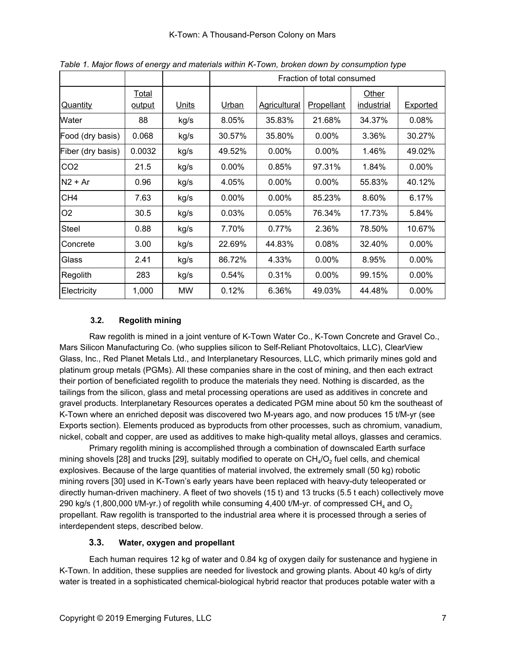|                   |               |              | Fraction of total consumed |                     |            |                   |                 |  |
|-------------------|---------------|--------------|----------------------------|---------------------|------------|-------------------|-----------------|--|
|                   | Total         |              |                            |                     |            | Other             |                 |  |
| <u>Quantity</u>   | <u>output</u> | <b>Units</b> | Urban                      | <b>Agricultural</b> | Propellant | <u>industrial</u> | <b>Exported</b> |  |
| Water             | 88            | kg/s         | 8.05%                      | 35.83%              | 21.68%     | 34.37%            | 0.08%           |  |
| Food (dry basis)  | 0.068         | kg/s         | 30.57%                     | 35.80%              | $0.00\%$   | 3.36%             | 30.27%          |  |
| Fiber (dry basis) | 0.0032        | kg/s         | 49.52%                     | 0.00%               | $0.00\%$   | 1.46%             | 49.02%          |  |
| CO <sub>2</sub>   | 21.5          | kg/s         | $0.00\%$                   | 0.85%               | 97.31%     | 1.84%             | $0.00\%$        |  |
| $N2 + Ar$         | 0.96          | kg/s         | 4.05%                      | $0.00\%$            | $0.00\%$   | 55.83%            | 40.12%          |  |
| CH <sub>4</sub>   | 7.63          | kg/s         | $0.00\%$                   | $0.00\%$            | 85.23%     | 8.60%             | 6.17%           |  |
| O <sub>2</sub>    | 30.5          | kg/s         | 0.03%                      | 0.05%               | 76.34%     | 17.73%            | 5.84%           |  |
| <b>Steel</b>      | 0.88          | kg/s         | 7.70%                      | 0.77%               | 2.36%      | 78.50%            | 10.67%          |  |
| Concrete          | 3.00          | kg/s         | 22.69%                     | 44.83%              | 0.08%      | 32.40%            | $0.00\%$        |  |
| Glass             | 2.41          | kg/s         | 86.72%                     | 4.33%               | $0.00\%$   | 8.95%             | 0.00%           |  |
| Regolith          | 283           | kg/s         | 0.54%                      | 0.31%               | $0.00\%$   | 99.15%            | $0.00\%$        |  |
| Electricity       | 1,000         | <b>MW</b>    | 0.12%                      | 6.36%               | 49.03%     | 44.48%            | $0.00\%$        |  |

*Table 1. Major flows of energy and materials within K-Town, broken down by consumption type*

# **3.2. Regolith mining**

Raw regolith is mined in a joint venture of K-Town Water Co., K-Town Concrete and Gravel Co., Mars Silicon Manufacturing Co. (who supplies silicon to Self-Reliant Photovoltaics, LLC), ClearView Glass, Inc., Red Planet Metals Ltd., and Interplanetary Resources, LLC, which primarily mines gold and platinum group metals (PGMs). All these companies share in the cost of mining, and then each extract their portion of beneficiated regolith to produce the materials they need. Nothing is discarded, as the tailings from the silicon, glass and metal processing operations are used as additives in concrete and gravel products. Interplanetary Resources operates a dedicated PGM mine about 50 km the southeast of K-Town where an enriched deposit was discovered two M-years ago, and now produces 15 t/M-yr (see Exports section). Elements produced as byproducts from other processes, such as chromium, vanadium, nickel, cobalt and copper, are used as additives to make high-quality metal alloys, glasses and ceramics.

Primary regolith mining is accomplished through a combination of downscaled Earth surface mining shovels [28] and trucks [29], suitably modified to operate on CH<sub>4</sub>/O<sub>2</sub> fuel cells, and chemical explosives. Because of the large quantities of material involved, the extremely small (50 kg) robotic mining rovers [30] used in K-Town's early years have been replaced with heavy-duty teleoperated or directly human-driven machinery. A fleet of two shovels (15 t) and 13 trucks (5.5 t each) collectively move 290 kg/s (1,800,000 t/M-yr.) of regolith while consuming 4,400 t/M-yr. of compressed CH<sub>4</sub> and O<sub>2</sub> propellant. Raw regolith is transported to the industrial area where it is processed through a series of interdependent steps, described below.

## **3.3. Water, oxygen and propellant**

Each human requires 12 kg of water and 0.84 kg of oxygen daily for sustenance and hygiene in K-Town. In addition, these supplies are needed for livestock and growing plants. About 40 kg/s of dirty water is treated in a sophisticated chemical-biological hybrid reactor that produces potable water with a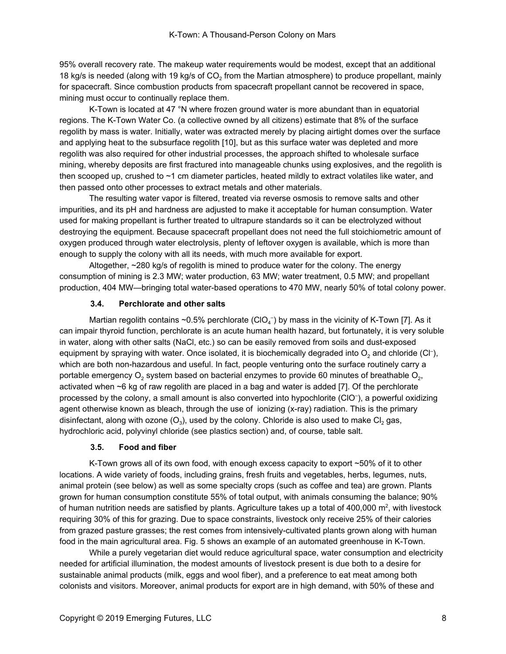95% overall recovery rate. The makeup water requirements would be modest, except that an additional 18 kg/s is needed (along with 19 kg/s of CO<sub>2</sub> from the Martian atmosphere) to produce propellant, mainly for spacecraft. Since combustion products from spacecraft propellant cannot be recovered in space, mining must occur to continually replace them.

K-Town is located at 47 °N where frozen ground water is more abundant than in equatorial regions. The K-Town Water Co. (a collective owned by all citizens) estimate that 8% of the surface regolith by mass is water. Initially, water was extracted merely by placing airtight domes over the surface and applying heat to the subsurface regolith [10], but as this surface water was depleted and more regolith was also required for other industrial processes, the approach shifted to wholesale surface mining, whereby deposits are first fractured into manageable chunks using explosives, and the regolith is then scooped up, crushed to ~1 cm diameter particles, heated mildly to extract volatiles like water, and then passed onto other processes to extract metals and other materials.

The resulting water vapor is filtered, treated via reverse osmosis to remove salts and other impurities, and its pH and hardness are adjusted to make it acceptable for human consumption. Water used for making propellant is further treated to ultrapure standards so it can be electrolyzed without destroying the equipment. Because spacecraft propellant does not need the full stoichiometric amount of oxygen produced through water electrolysis, plenty of leftover oxygen is available, which is more than enough to supply the colony with all its needs, with much more available for export.

Altogether, ~280 kg/s of regolith is mined to produce water for the colony. The energy consumption of mining is 2.3 MW; water production, 63 MW; water treatment, 0.5 MW; and propellant production, 404 MW—bringing total water-based operations to 470 MW, nearly 50% of total colony power.

### **3.4. Perchlorate and other salts**

Martian regolith contains ~0.5% perchlorate (ClO<sub>4</sub><sup>-</sup>) by mass in the vicinity of K-Town [7]. As it can impair thyroid function, perchlorate is an acute human health hazard, but fortunately, it is very soluble in water, along with other salts (NaCl, etc.) so can be easily removed from soils and dust-exposed equipment by spraying with water. Once isolated, it is biochemically degraded into  ${\rm O}_2$  and chloride (Cl<sup>-</sup>), which are both non-hazardous and useful. In fact, people venturing onto the surface routinely carry a portable emergency  $\mathrm{O}_2$  system based on bacterial enzymes to provide 60 minutes of breathable  $\mathrm{O}_2$ , activated when ~6 kg of raw regolith are placed in a bag and water is added [7]. Of the perchlorate processed by the colony, a small amount is also converted into hypochlorite (ClO– ), a powerful oxidizing agent otherwise known as bleach, through the use of ionizing (x-ray) radiation. This is the primary disinfectant, along with ozone (O<sub>3</sub>), used by the colony. Chloride is also used to make Cl<sub>2</sub> gas, hydrochloric acid, polyvinyl chloride (see plastics section) and, of course, table salt.

### **3.5. Food and fiber**

K-Town grows all of its own food, with enough excess capacity to export ~50% of it to other locations. A wide variety of foods, including grains, fresh fruits and vegetables, herbs, legumes, nuts, animal protein (see below) as well as some specialty crops (such as coffee and tea) are grown. Plants grown for human consumption constitute 55% of total output, with animals consuming the balance; 90% of human nutrition needs are satisfied by plants. Agriculture takes up a total of 400,000 m<sup>2</sup>, with livestock requiring 30% of this for grazing. Due to space constraints, livestock only receive 25% of their calories from grazed pasture grasses; the rest comes from intensively-cultivated plants grown along with human food in the main agricultural area. Fig. 5 shows an example of an automated greenhouse in K-Town.

While a purely vegetarian diet would reduce agricultural space, water consumption and electricity needed for artificial illumination, the modest amounts of livestock present is due both to a desire for sustainable animal products (milk, eggs and wool fiber), and a preference to eat meat among both colonists and visitors. Moreover, animal products for export are in high demand, with 50% of these and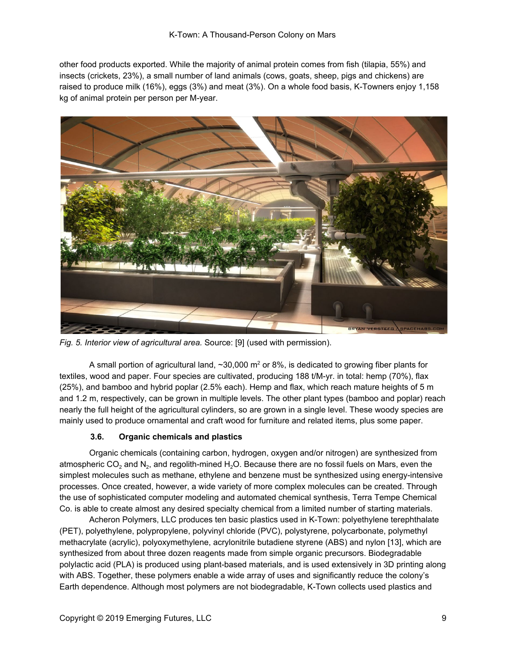other food products exported. While the majority of animal protein comes from fish (tilapia, 55%) and insects (crickets, 23%), a small number of land animals (cows, goats, sheep, pigs and chickens) are raised to produce milk (16%), eggs (3%) and meat (3%). On a whole food basis, K-Towners enjoy 1,158 kg of animal protein per person per M-year.



*Fig. 5. Interior view of agricultural area.* Source: [9] (used with permission).

A small portion of agricultural land,  $\sim 30,000$  m<sup>2</sup> or 8%, is dedicated to growing fiber plants for textiles, wood and paper. Four species are cultivated, producing 188 t/M-yr. in total: hemp (70%), flax (25%), and bamboo and hybrid poplar (2.5% each). Hemp and flax, which reach mature heights of 5 m and 1.2 m, respectively, can be grown in multiple levels. The other plant types (bamboo and poplar) reach nearly the full height of the agricultural cylinders, so are grown in a single level. These woody species are mainly used to produce ornamental and craft wood for furniture and related items, plus some paper.

### **3.6. Organic chemicals and plastics**

Organic chemicals (containing carbon, hydrogen, oxygen and/or nitrogen) are synthesized from atmospheric CO<sub>2</sub> and N<sub>2</sub>, and regolith-mined H<sub>2</sub>O. Because there are no fossil fuels on Mars, even the simplest molecules such as methane, ethylene and benzene must be synthesized using energy-intensive processes. Once created, however, a wide variety of more complex molecules can be created. Through the use of sophisticated computer modeling and automated chemical synthesis, Terra Tempe Chemical Co. is able to create almost any desired specialty chemical from a limited number of starting materials.

Acheron Polymers, LLC produces ten basic plastics used in K-Town: polyethylene terephthalate (PET), polyethylene, polypropylene, polyvinyl chloride (PVC), polystyrene, polycarbonate, polymethyl methacrylate (acrylic), polyoxymethylene, acrylonitrile butadiene styrene (ABS) and nylon [13], which are synthesized from about three dozen reagents made from simple organic precursors. Biodegradable polylactic acid (PLA) is produced using plant-based materials, and is used extensively in 3D printing along with ABS. Together, these polymers enable a wide array of uses and significantly reduce the colony's Earth dependence. Although most polymers are not biodegradable, K-Town collects used plastics and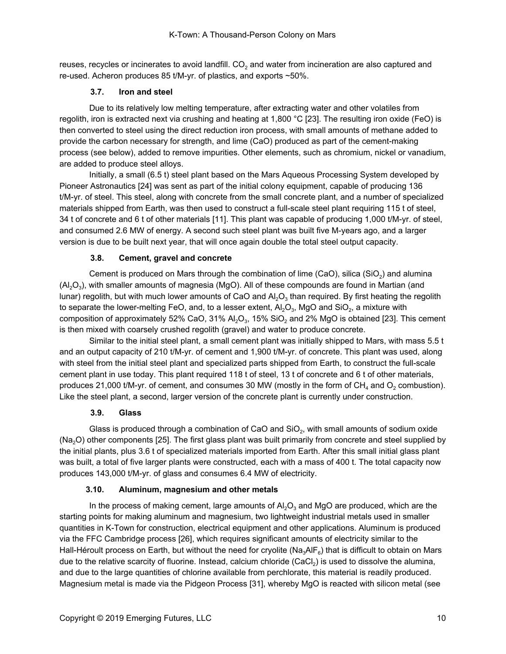reuses, recycles or incinerates to avoid landfill. CO<sub>2</sub> and water from incineration are also captured and re-used. Acheron produces 85 t/M-yr. of plastics, and exports ~50%.

### **3.7. Iron and steel**

Due to its relatively low melting temperature, after extracting water and other volatiles from regolith, iron is extracted next via crushing and heating at 1,800 °C [23]. The resulting iron oxide (FeO) is then converted to steel using the direct reduction iron process, with small amounts of methane added to provide the carbon necessary for strength, and lime (CaO) produced as part of the cement-making process (see below), added to remove impurities. Other elements, such as chromium, nickel or vanadium, are added to produce steel alloys.

Initially, a small (6.5 t) steel plant based on the Mars Aqueous Processing System developed by Pioneer Astronautics [24] was sent as part of the initial colony equipment, capable of producing 136 t/M-yr. of steel. This steel, along with concrete from the small concrete plant, and a number of specialized materials shipped from Earth, was then used to construct a full-scale steel plant requiring 115 t of steel, 34 t of concrete and 6 t of other materials [11]. This plant was capable of producing 1,000 t/M-yr. of steel, and consumed 2.6 MW of energy. A second such steel plant was built five M-years ago, and a larger version is due to be built next year, that will once again double the total steel output capacity.

## **3.8. Cement, gravel and concrete**

Cement is produced on Mars through the combination of lime (CaO), silica (SiO<sub>2</sub>) and alumina (Al<sub>2</sub>O<sub>3</sub>), with smaller amounts of magnesia (MgO). All of these compounds are found in Martian (and lunar) regolith, but with much lower amounts of CaO and Al<sub>2</sub>O<sub>3</sub> than required. By first heating the regolith to separate the lower-melting FeO, and, to a lesser extent,  $\mathsf{Al}_2\mathsf{O}_3$ , MgO and SiO<sub>2</sub>, a mixture with composition of approximately 52% CaO, 31% Al $_2\rm O_3$ , 15% SiO $_2$  and 2% MgO is obtained [23]. This cement is then mixed with coarsely crushed regolith (gravel) and water to produce concrete.

Similar to the initial steel plant, a small cement plant was initially shipped to Mars, with mass 5.5 t and an output capacity of 210 t/M-yr. of cement and 1,900 t/M-yr. of concrete. This plant was used, along with steel from the initial steel plant and specialized parts shipped from Earth, to construct the full-scale cement plant in use today. This plant required 118 t of steel, 13 t of concrete and 6 t of other materials, produces 21,000 t/M-yr. of cement, and consumes 30 MW (mostly in the form of  $CH_4$  and  $O_2$  combustion). Like the steel plant, a second, larger version of the concrete plant is currently under construction.

## **3.9. Glass**

Glass is produced through a combination of CaO and SiO<sub>2</sub>, with small amounts of sodium oxide (Na2O) other components [25]. The first glass plant was built primarily from concrete and steel supplied by the initial plants, plus 3.6 t of specialized materials imported from Earth. After this small initial glass plant was built, a total of five larger plants were constructed, each with a mass of 400 t. The total capacity now produces 143,000 t/M-yr. of glass and consumes 6.4 MW of electricity.

## **3.10. Aluminum, magnesium and other metals**

In the process of making cement, large amounts of  $AI_2O_3$  and MgO are produced, which are the starting points for making aluminum and magnesium, two lightweight industrial metals used in smaller quantities in K-Town for construction, electrical equipment and other applications. Aluminum is produced via the FFC Cambridge process [26], which requires significant amounts of electricity similar to the Hall-Héroult process on Earth, but without the need for cryolite (Na<sub>3</sub>AIF<sub>6</sub>) that is difficult to obtain on Mars due to the relative scarcity of fluorine. Instead, calcium chloride (CaCl<sub>2</sub>) is used to dissolve the alumina, and due to the large quantities of chlorine available from perchlorate, this material is readily produced. Magnesium metal is made via the Pidgeon Process [31], whereby MgO is reacted with silicon metal (see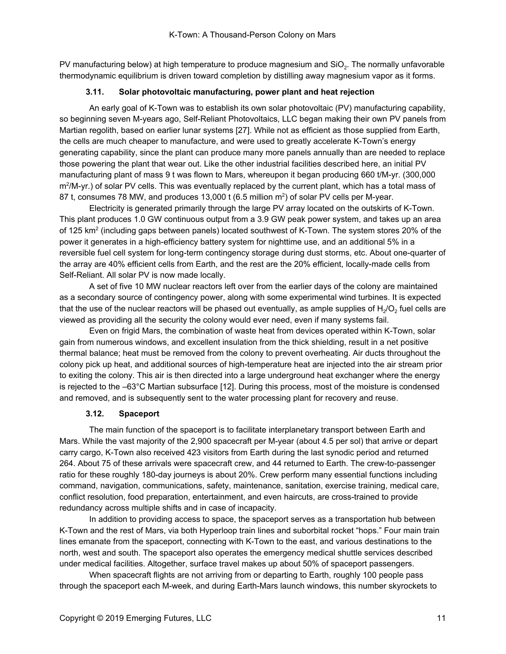PV manufacturing below) at high temperature to produce magnesium and SiO<sub>2</sub>. The normally unfavorable thermodynamic equilibrium is driven toward completion by distilling away magnesium vapor as it forms.

### **3.11. Solar photovoltaic manufacturing, power plant and heat rejection**

An early goal of K-Town was to establish its own solar photovoltaic (PV) manufacturing capability, so beginning seven M-years ago, Self-Reliant Photovoltaics, LLC began making their own PV panels from Martian regolith, based on earlier lunar systems [27]. While not as efficient as those supplied from Earth, the cells are much cheaper to manufacture, and were used to greatly accelerate K-Town's energy generating capability, since the plant can produce many more panels annually than are needed to replace those powering the plant that wear out. Like the other industrial facilities described here, an initial PV manufacturing plant of mass 9 t was flown to Mars, whereupon it began producing 660 t/M-yr. (300,000 m<sup>2</sup>/M-yr.) of solar PV cells. This was eventually replaced by the current plant, which has a total mass of 87 t, consumes 78 MW, and produces  $13,000$  t (6.5 million  $m^2$ ) of solar PV cells per M-year.

Electricity is generated primarily through the large PV array located on the outskirts of K-Town. This plant produces 1.0 GW continuous output from a 3.9 GW peak power system, and takes up an area of 125 km<sup>2</sup> (including gaps between panels) located southwest of K-Town. The system stores 20% of the power it generates in a high-efficiency battery system for nighttime use, and an additional 5% in a reversible fuel cell system for long-term contingency storage during dust storms, etc. About one-quarter of the array are 40% efficient cells from Earth, and the rest are the 20% efficient, locally-made cells from Self-Reliant. All solar PV is now made locally.

A set of five 10 MW nuclear reactors left over from the earlier days of the colony are maintained as a secondary source of contingency power, along with some experimental wind turbines. It is expected that the use of the nuclear reactors will be phased out eventually, as ample supplies of  $\mathsf{H}_{2}/\mathsf{O}_{2}$  fuel cells are viewed as providing all the security the colony would ever need, even if many systems fail.

Even on frigid Mars, the combination of waste heat from devices operated within K-Town, solar gain from numerous windows, and excellent insulation from the thick shielding, result in a net positive thermal balance; heat must be removed from the colony to prevent overheating. Air ducts throughout the colony pick up heat, and additional sources of high-temperature heat are injected into the air stream prior to exiting the colony. This air is then directed into a large underground heat exchanger where the energy is rejected to the –63°C Martian subsurface [12]. During this process, most of the moisture is condensed and removed, and is subsequently sent to the water processing plant for recovery and reuse.

## **3.12. Spaceport**

The main function of the spaceport is to facilitate interplanetary transport between Earth and Mars. While the vast majority of the 2,900 spacecraft per M-year (about 4.5 per sol) that arrive or depart carry cargo, K-Town also received 423 visitors from Earth during the last synodic period and returned 264. About 75 of these arrivals were spacecraft crew, and 44 returned to Earth. The crew-to-passenger ratio for these roughly 180-day journeys is about 20%. Crew perform many essential functions including command, navigation, communications, safety, maintenance, sanitation, exercise training, medical care, conflict resolution, food preparation, entertainment, and even haircuts, are cross-trained to provide redundancy across multiple shifts and in case of incapacity.

In addition to providing access to space, the spaceport serves as a transportation hub between K-Town and the rest of Mars, via both Hyperloop train lines and suborbital rocket "hops." Four main train lines emanate from the spaceport, connecting with K-Town to the east, and various destinations to the north, west and south. The spaceport also operates the emergency medical shuttle services described under medical facilities. Altogether, surface travel makes up about 50% of spaceport passengers.

When spacecraft flights are not arriving from or departing to Earth, roughly 100 people pass through the spaceport each M-week, and during Earth-Mars launch windows, this number skyrockets to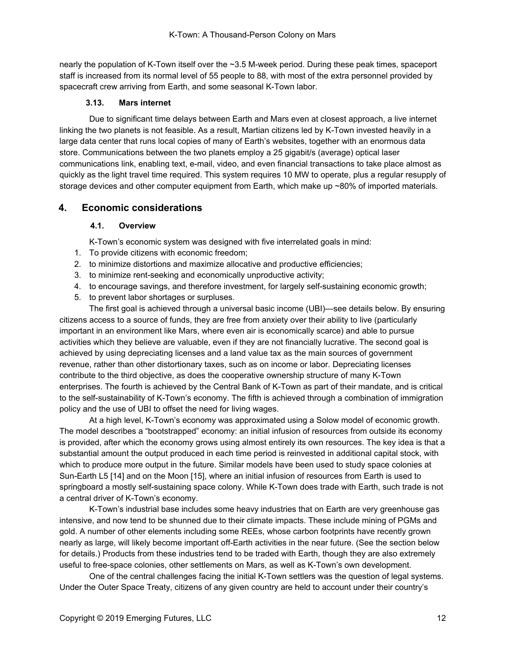nearly the population of K-Town itself over the ~3.5 M-week period. During these peak times, spaceport staff is increased from its normal level of 55 people to 88, with most of the extra personnel provided by spacecraft crew arriving from Earth, and some seasonal K-Town labor.

### **3.13. Mars internet**

Due to significant time delays between Earth and Mars even at closest approach, a live internet linking the two planets is not feasible. As a result, Martian citizens led by K-Town invested heavily in a large data center that runs local copies of many of Earth's websites, together with an enormous data store. Communications between the two planets employ a 25 gigabit/s (average) optical laser communications link, enabling text, e-mail, video, and even financial transactions to take place almost as quickly as the light travel time required. This system requires 10 MW to operate, plus a regular resupply of storage devices and other computer equipment from Earth, which make up ~80% of imported materials.

# **4. Economic considerations**

### **4.1. Overview**

K-Town's economic system was designed with five interrelated goals in mind:

- 1. To provide citizens with economic freedom;
- 2. to minimize distortions and maximize allocative and productive efficiencies;
- 3. to minimize rent-seeking and economically unproductive activity;
- 4. to encourage savings, and therefore investment, for largely self-sustaining economic growth;
- 5. to prevent labor shortages or surpluses.

The first goal is achieved through a universal basic income (UBI)—see details below. By ensuring citizens access to a source of funds, they are free from anxiety over their ability to live (particularly important in an environment like Mars, where even air is economically scarce) and able to pursue activities which they believe are valuable, even if they are not financially lucrative. The second goal is achieved by using depreciating licenses and a land value tax as the main sources of government revenue, rather than other distortionary taxes, such as on income or labor. Depreciating licenses contribute to the third objective, as does the cooperative ownership structure of many K-Town enterprises. The fourth is achieved by the Central Bank of K-Town as part of their mandate, and is critical to the self-sustainability of K-Town's economy. The fifth is achieved through a combination of immigration policy and the use of UBI to offset the need for living wages.

At a high level, K-Town's economy was approximated using a Solow model of economic growth. The model describes a "bootstrapped" economy: an initial infusion of resources from outside its economy is provided, after which the economy grows using almost entirely its own resources. The key idea is that a substantial amount the output produced in each time period is reinvested in additional capital stock, with which to produce more output in the future. Similar models have been used to study space colonies at Sun-Earth L5 [14] and on the Moon [15], where an initial infusion of resources from Earth is used to springboard a mostly self-sustaining space colony. While K-Town does trade with Earth, such trade is not a central driver of K-Town's economy.

K-Town's industrial base includes some heavy industries that on Earth are very greenhouse gas intensive, and now tend to be shunned due to their climate impacts. These include mining of PGMs and gold. A number of other elements including some REEs, whose carbon footprints have recently grown nearly as large, will likely become important off-Earth activities in the near future. (See the section below for details.) Products from these industries tend to be traded with Earth, though they are also extremely useful to free-space colonies, other settlements on Mars, as well as K-Town's own development.

One of the central challenges facing the initial K-Town settlers was the question of legal systems. Under the Outer Space Treaty, citizens of any given country are held to account under their country's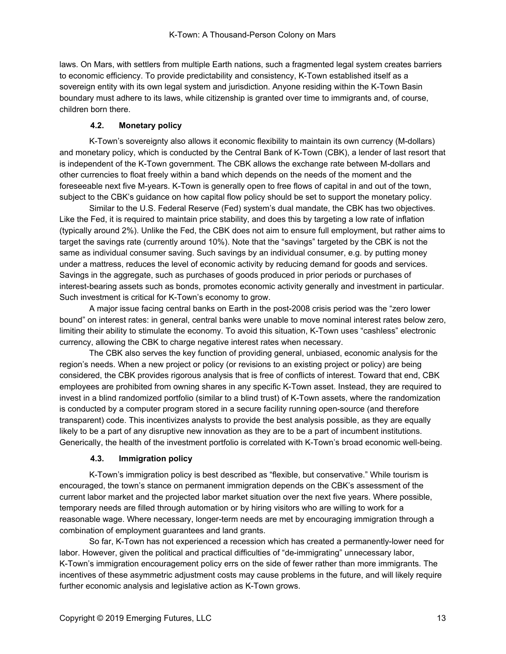laws. On Mars, with settlers from multiple Earth nations, such a fragmented legal system creates barriers to economic efficiency. To provide predictability and consistency, K-Town established itself as a sovereign entity with its own legal system and jurisdiction. Anyone residing within the K-Town Basin boundary must adhere to its laws, while citizenship is granted over time to immigrants and, of course, children born there.

## **4.2. Monetary policy**

K-Town's sovereignty also allows it economic flexibility to maintain its own currency (M-dollars) and monetary policy, which is conducted by the Central Bank of K-Town (CBK), a lender of last resort that is independent of the K-Town government. The CBK allows the exchange rate between M-dollars and other currencies to float freely within a band which depends on the needs of the moment and the foreseeable next five M-years. K-Town is generally open to free flows of capital in and out of the town, subject to the CBK's guidance on how capital flow policy should be set to support the monetary policy.

Similar to the U.S. Federal Reserve (Fed) system's dual mandate, the CBK has two objectives. Like the Fed, it is required to maintain price stability, and does this by targeting a low rate of inflation (typically around 2%). Unlike the Fed, the CBK does not aim to ensure full employment, but rather aims to target the savings rate (currently around 10%). Note that the "savings" targeted by the CBK is not the same as individual consumer saving. Such savings by an individual consumer, e.g. by putting money under a mattress, reduces the level of economic activity by reducing demand for goods and services. Savings in the aggregate, such as purchases of goods produced in prior periods or purchases of interest-bearing assets such as bonds, promotes economic activity generally and investment in particular. Such investment is critical for K-Town's economy to grow.

A major issue facing central banks on Earth in the post-2008 crisis period was the "zero lower bound" on interest rates: in general, central banks were unable to move nominal interest rates below zero, limiting their ability to stimulate the economy. To avoid this situation, K-Town uses "cashless" electronic currency, allowing the CBK to charge negative interest rates when necessary.

The CBK also serves the key function of providing general, unbiased, economic analysis for the region's needs. When a new project or policy (or revisions to an existing project or policy) are being considered, the CBK provides rigorous analysis that is free of conflicts of interest. Toward that end, CBK employees are prohibited from owning shares in any specific K-Town asset. Instead, they are required to invest in a blind randomized portfolio (similar to a blind trust) of K-Town assets, where the randomization is conducted by a computer program stored in a secure facility running open-source (and therefore transparent) code. This incentivizes analysts to provide the best analysis possible, as they are equally likely to be a part of any disruptive new innovation as they are to be a part of incumbent institutions. Generically, the health of the investment portfolio is correlated with K-Town's broad economic well-being.

## **4.3. Immigration policy**

K-Town's immigration policy is best described as "flexible, but conservative." While tourism is encouraged, the town's stance on permanent immigration depends on the CBK's assessment of the current labor market and the projected labor market situation over the next five years. Where possible, temporary needs are filled through automation or by hiring visitors who are willing to work for a reasonable wage. Where necessary, longer-term needs are met by encouraging immigration through a combination of employment guarantees and land grants.

So far, K-Town has not experienced a recession which has created a permanently-lower need for labor. However, given the political and practical difficulties of "de-immigrating" unnecessary labor, K-Town's immigration encouragement policy errs on the side of fewer rather than more immigrants. The incentives of these asymmetric adjustment costs may cause problems in the future, and will likely require further economic analysis and legislative action as K-Town grows.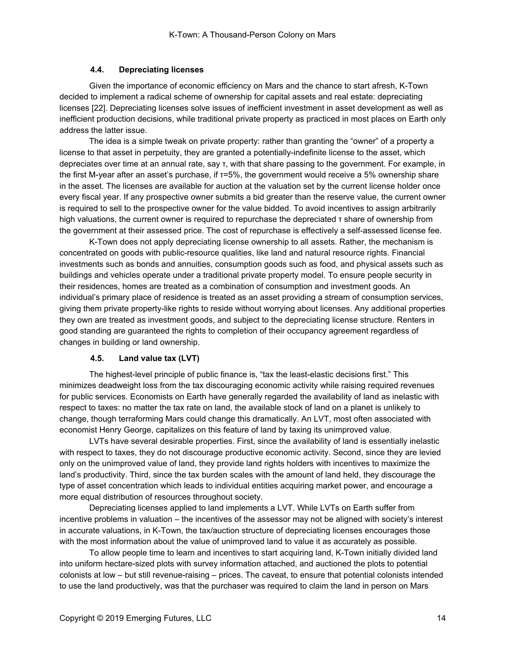### **4.4. Depreciating licenses**

Given the importance of economic efficiency on Mars and the chance to start afresh, K-Town decided to implement a radical scheme of ownership for capital assets and real estate: depreciating licenses [22]. Depreciating licenses solve issues of inefficient investment in asset development as well as inefficient production decisions, while traditional private property as practiced in most places on Earth only address the latter issue.

The idea is a simple tweak on private property: rather than granting the "owner" of a property a license to that asset in perpetuity, they are granted a potentially-indefinite license to the asset, which depreciates over time at an annual rate, say τ, with that share passing to the government. For example, in the first M-year after an asset's purchase, if τ=5%, the government would receive a 5% ownership share in the asset. The licenses are available for auction at the valuation set by the current license holder once every fiscal year. If any prospective owner submits a bid greater than the reserve value, the current owner is required to sell to the prospective owner for the value bidded. To avoid incentives to assign arbitrarily high valuations, the current owner is required to repurchase the depreciated τ share of ownership from the government at their assessed price. The cost of repurchase is effectively a self-assessed license fee.

K-Town does not apply depreciating license ownership to all assets. Rather, the mechanism is concentrated on goods with public-resource qualities, like land and natural resource rights. Financial investments such as bonds and annuities, consumption goods such as food, and physical assets such as buildings and vehicles operate under a traditional private property model. To ensure people security in their residences, homes are treated as a combination of consumption and investment goods. An individual's primary place of residence is treated as an asset providing a stream of consumption services, giving them private property-like rights to reside without worrying about licenses. Any additional properties they own are treated as investment goods, and subject to the depreciating license structure. Renters in good standing are guaranteed the rights to completion of their occupancy agreement regardless of changes in building or land ownership.

### **4.5. Land value tax (LVT)**

The highest-level principle of public finance is, "tax the least-elastic decisions first." This minimizes deadweight loss from the tax discouraging economic activity while raising required revenues for public services. Economists on Earth have generally regarded the availability of land as inelastic with respect to taxes: no matter the tax rate on land, the available stock of land on a planet is unlikely to change, though terraforming Mars could change this dramatically. An LVT, most often associated with economist Henry George, capitalizes on this feature of land by taxing its unimproved value.

LVTs have several desirable properties. First, since the availability of land is essentially inelastic with respect to taxes, they do not discourage productive economic activity. Second, since they are levied only on the unimproved value of land, they provide land rights holders with incentives to maximize the land's productivity. Third, since the tax burden scales with the amount of land held, they discourage the type of asset concentration which leads to individual entities acquiring market power, and encourage a more equal distribution of resources throughout society.

Depreciating licenses applied to land implements a LVT. While LVTs on Earth suffer from incentive problems in valuation – the incentives of the assessor may not be aligned with society's interest in accurate valuations, in K-Town, the tax/auction structure of depreciating licenses encourages those with the most information about the value of unimproved land to value it as accurately as possible.

To allow people time to learn and incentives to start acquiring land, K-Town initially divided land into uniform hectare-sized plots with survey information attached, and auctioned the plots to potential colonists at low – but still revenue-raising – prices. The caveat, to ensure that potential colonists intended to use the land productively, was that the purchaser was required to claim the land in person on Mars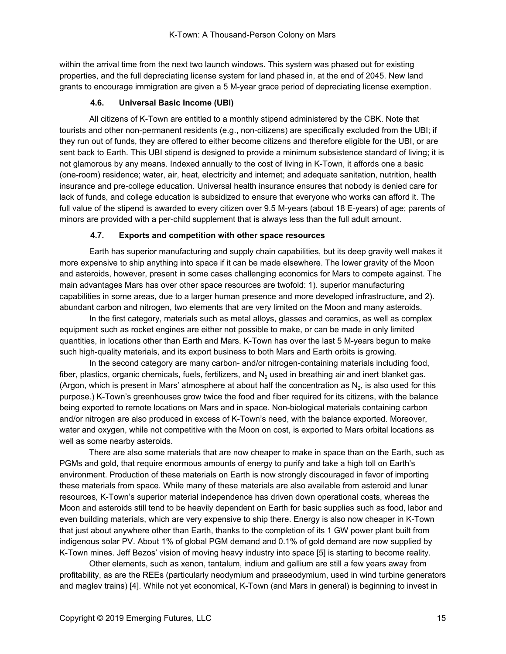within the arrival time from the next two launch windows. This system was phased out for existing properties, and the full depreciating license system for land phased in, at the end of 2045. New land grants to encourage immigration are given a 5 M-year grace period of depreciating license exemption.

## **4.6. Universal Basic Income (UBI)**

All citizens of K-Town are entitled to a monthly stipend administered by the CBK. Note that tourists and other non-permanent residents (e.g., non-citizens) are specifically excluded from the UBI; if they run out of funds, they are offered to either become citizens and therefore eligible for the UBI, or are sent back to Earth. This UBI stipend is designed to provide a minimum subsistence standard of living; it is not glamorous by any means. Indexed annually to the cost of living in K-Town, it affords one a basic (one-room) residence; water, air, heat, electricity and internet; and adequate sanitation, nutrition, health insurance and pre-college education. Universal health insurance ensures that nobody is denied care for lack of funds, and college education is subsidized to ensure that everyone who works can afford it. The full value of the stipend is awarded to every citizen over 9.5 M-years (about 18 E-years) of age; parents of minors are provided with a per-child supplement that is always less than the full adult amount.

### **4.7. Exports and competition with other space resources**

Earth has superior manufacturing and supply chain capabilities, but its deep gravity well makes it more expensive to ship anything into space if it can be made elsewhere. The lower gravity of the Moon and asteroids, however, present in some cases challenging economics for Mars to compete against. The main advantages Mars has over other space resources are twofold: 1). superior manufacturing capabilities in some areas, due to a larger human presence and more developed infrastructure, and 2). abundant carbon and nitrogen, two elements that are very limited on the Moon and many asteroids.

In the first category, materials such as metal alloys, glasses and ceramics, as well as complex equipment such as rocket engines are either not possible to make, or can be made in only limited quantities, in locations other than Earth and Mars. K-Town has over the last 5 M-years begun to make such high-quality materials, and its export business to both Mars and Earth orbits is growing.

In the second category are many carbon- and/or nitrogen-containing materials including food, fiber, plastics, organic chemicals, fuels, fertilizers, and  $N<sub>2</sub>$  used in breathing air and inert blanket gas. (Argon, which is present in Mars' atmosphere at about half the concentration as  $N_2$ , is also used for this purpose.) K-Town's greenhouses grow twice the food and fiber required for its citizens, with the balance being exported to remote locations on Mars and in space. Non-biological materials containing carbon and/or nitrogen are also produced in excess of K-Town's need, with the balance exported. Moreover, water and oxygen, while not competitive with the Moon on cost, is exported to Mars orbital locations as well as some nearby asteroids.

There are also some materials that are now cheaper to make in space than on the Earth, such as PGMs and gold, that require enormous amounts of energy to purify and take a high toll on Earth's environment. Production of these materials on Earth is now strongly discouraged in favor of importing these materials from space. While many of these materials are also available from asteroid and lunar resources, K-Town's superior material independence has driven down operational costs, whereas the Moon and asteroids still tend to be heavily dependent on Earth for basic supplies such as food, labor and even building materials, which are very expensive to ship there. Energy is also now cheaper in K-Town that just about anywhere other than Earth, thanks to the completion of its 1 GW power plant built from indigenous solar PV. About 1% of global PGM demand and 0.1% of gold demand are now supplied by K-Town mines. Jeff Bezos' vision of moving heavy industry into space [5] is starting to become reality.

Other elements, such as xenon, tantalum, indium and gallium are still a few years away from profitability, as are the REEs (particularly neodymium and praseodymium, used in wind turbine generators and maglev trains) [4]. While not yet economical, K-Town (and Mars in general) is beginning to invest in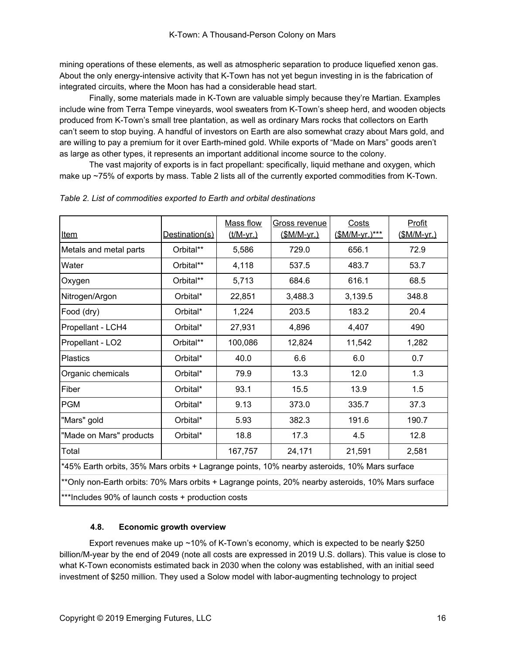mining operations of these elements, as well as atmospheric separation to produce liquefied xenon gas. About the only energy-intensive activity that K-Town has not yet begun investing in is the fabrication of integrated circuits, where the Moon has had a considerable head start.

Finally, some materials made in K-Town are valuable simply because they're Martian. Examples include wine from Terra Tempe vineyards, wool sweaters from K-Town's sheep herd, and wooden objects produced from K-Town's small tree plantation, as well as ordinary Mars rocks that collectors on Earth can't seem to stop buying. A handful of investors on Earth are also somewhat crazy about Mars gold, and are willing to pay a premium for it over Earth-mined gold. While exports of "Made on Mars" goods aren't as large as other types, it represents an important additional income source to the colony.

The vast majority of exports is in fact propellant: specifically, liquid methane and oxygen, which make up ~75% of exports by mass. Table 2 lists all of the currently exported commodities from K-Town.

| <u>Item</u>                                                                                        | Destination(s) | Mass flow<br>(t/M-yr.) | Gross revenue<br>(\$M/M-yr.) | Costs<br>(\$M/M-yr.)*** | Profit<br>(\$M/M-yr.) |  |  |  |  |  |
|----------------------------------------------------------------------------------------------------|----------------|------------------------|------------------------------|-------------------------|-----------------------|--|--|--|--|--|
| Metals and metal parts                                                                             | Orbital**      | 5,586                  | 729.0                        | 656.1                   | 72.9                  |  |  |  |  |  |
| Water                                                                                              | Orbital**      | 4,118                  | 537.5                        | 483.7                   | 53.7                  |  |  |  |  |  |
| Oxygen                                                                                             | Orbital**      | 5,713                  | 684.6                        | 616.1                   | 68.5                  |  |  |  |  |  |
| Nitrogen/Argon                                                                                     | Orbital*       | 22,851                 | 3,488.3                      | 3,139.5                 | 348.8                 |  |  |  |  |  |
| Food (dry)                                                                                         | Orbital*       | 1,224                  | 203.5                        | 183.2                   | 20.4                  |  |  |  |  |  |
| Propellant - LCH4                                                                                  | Orbital*       | 27,931                 | 4,896                        | 4,407                   | 490                   |  |  |  |  |  |
| Propellant - LO2                                                                                   | Orbital**      | 100,086                | 12,824                       | 11,542                  | 1,282                 |  |  |  |  |  |
| <b>Plastics</b>                                                                                    | Orbital*       | 40.0                   | 6.6                          | 6.0                     | 0.7                   |  |  |  |  |  |
| Organic chemicals                                                                                  | Orbital*       | 79.9                   | 13.3                         | 12.0                    | 1.3                   |  |  |  |  |  |
| Fiber                                                                                              | Orbital*       | 93.1                   | 15.5                         | 13.9                    | 1.5                   |  |  |  |  |  |
| <b>PGM</b>                                                                                         | Orbital*       | 9.13                   | 373.0                        | 335.7                   | 37.3                  |  |  |  |  |  |
| "Mars" gold                                                                                        | Orbital*       | 5.93                   | 382.3                        | 191.6                   | 190.7                 |  |  |  |  |  |
| "Made on Mars" products                                                                            | Orbital*       | 18.8                   | 17.3                         | 4.5                     | 12.8                  |  |  |  |  |  |
| Total                                                                                              |                | 167,757                | 24,171                       | 21,591                  | 2,581                 |  |  |  |  |  |
| *45% Earth orbits, 35% Mars orbits + Lagrange points, 10% nearby asteroids, 10% Mars surface       |                |                        |                              |                         |                       |  |  |  |  |  |
| **Only non-Earth orbits: 70% Mars orbits + Lagrange points, 20% nearby asteroids, 10% Mars surface |                |                        |                              |                         |                       |  |  |  |  |  |
| ***Includes 90% of launch costs + production costs                                                 |                |                        |                              |                         |                       |  |  |  |  |  |

*Table 2. List of commodities exported to Earth and orbital destinations*

## **4.8. Economic growth overview**

Export revenues make up  $\sim$  10% of K-Town's economy, which is expected to be nearly \$250 billion/M-year by the end of 2049 (note all costs are expressed in 2019 U.S. dollars). This value is close to what K-Town economists estimated back in 2030 when the colony was established, with an initial seed investment of \$250 million. They used a Solow model with labor-augmenting technology to project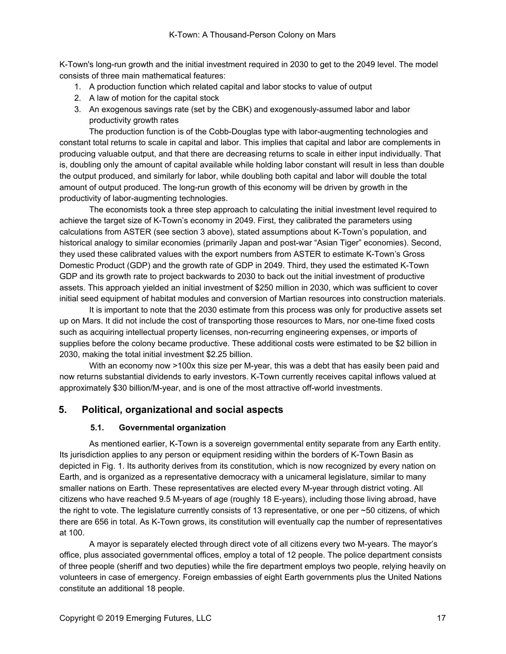K-Town's long-run growth and the initial investment required in 2030 to get to the 2049 level. The model consists of three main mathematical features:

- 1. A production function which related capital and labor stocks to value of output
- 2. A law of motion for the capital stock
- 3. An exogenous savings rate (set by the CBK) and exogenously-assumed labor and labor productivity growth rates

The production function is of the Cobb-Douglas type with labor-augmenting technologies and constant total returns to scale in capital and labor. This implies that capital and labor are complements in producing valuable output, and that there are decreasing returns to scale in either input individually. That is, doubling only the amount of capital available while holding labor constant will result in less than double the output produced, and similarly for labor, while doubling both capital and labor will double the total amount of output produced. The long-run growth of this economy will be driven by growth in the productivity of labor-augmenting technologies.

The economists took a three step approach to calculating the initial investment level required to achieve the target size of K-Town's economy in 2049. First, they calibrated the parameters using calculations from ASTER (see section 3 above), stated assumptions about K-Town's population, and historical analogy to similar economies (primarily Japan and post-war "Asian Tiger" economies). Second, they used these calibrated values with the export numbers from ASTER to estimate K-Town's Gross Domestic Product (GDP) and the growth rate of GDP in 2049. Third, they used the estimated K-Town GDP and its growth rate to project backwards to 2030 to back out the initial investment of productive assets. This approach yielded an initial investment of \$250 million in 2030, which was sufficient to cover initial seed equipment of habitat modules and conversion of Martian resources into construction materials.

It is important to note that the 2030 estimate from this process was only for productive assets set up on Mars. It did not include the cost of transporting those resources to Mars, nor one-time fixed costs such as acquiring intellectual property licenses, non-recurring engineering expenses, or imports of supplies before the colony became productive. These additional costs were estimated to be \$2 billion in 2030, making the total initial investment \$2.25 billion.

With an economy now >100x this size per M-year, this was a debt that has easily been paid and now returns substantial dividends to early investors. K-Town currently receives capital inflows valued at approximately \$30 billion/M-year, and is one of the most attractive off-world investments.

# **5. Political, organizational and social aspects**

## **5.1. Governmental organization**

As mentioned earlier, K-Town is a sovereign governmental entity separate from any Earth entity. Its jurisdiction applies to any person or equipment residing within the borders of K-Town Basin as depicted in Fig. 1. Its authority derives from its constitution, which is now recognized by every nation on Earth, and is organized as a representative democracy with a unicameral legislature, similar to many smaller nations on Earth. These representatives are elected every M-year through district voting. All citizens who have reached 9.5 M-years of age (roughly 18 E-years), including those living abroad, have the right to vote. The legislature currently consists of 13 representative, or one per ~50 citizens, of which there are 656 in total. As K-Town grows, its constitution will eventually cap the number of representatives at 100.

A mayor is separately elected through direct vote of all citizens every two M-years. The mayor's office, plus associated governmental offices, employ a total of 12 people. The police department consists of three people (sheriff and two deputies) while the fire department employs two people, relying heavily on volunteers in case of emergency. Foreign embassies of eight Earth governments plus the United Nations constitute an additional 18 people.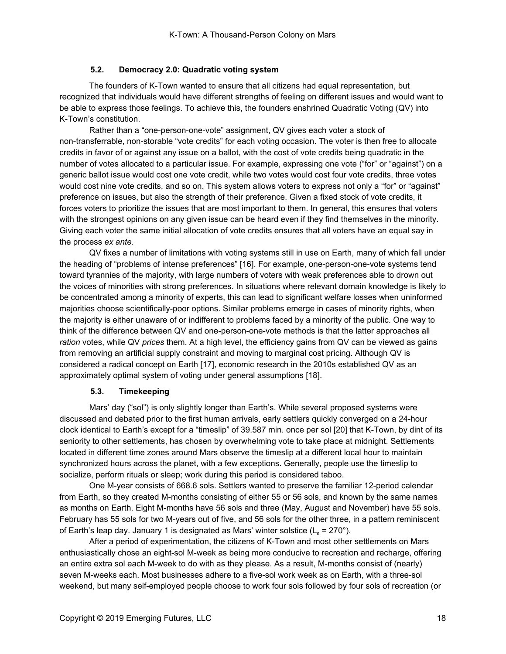### **5.2. Democracy 2.0: Quadratic voting system**

The founders of K-Town wanted to ensure that all citizens had equal representation, but recognized that individuals would have different strengths of feeling on different issues and would want to be able to express those feelings. To achieve this, the founders enshrined Quadratic Voting (QV) into K-Town's constitution.

Rather than a "one-person-one-vote" assignment, QV gives each voter a stock of non-transferrable, non-storable "vote credits" for each voting occasion. The voter is then free to allocate credits in favor of or against any issue on a ballot, with the cost of vote credits being quadratic in the number of votes allocated to a particular issue. For example, expressing one vote ("for" or "against") on a generic ballot issue would cost one vote credit, while two votes would cost four vote credits, three votes would cost nine vote credits, and so on. This system allows voters to express not only a "for" or "against" preference on issues, but also the strength of their preference. Given a fixed stock of vote credits, it forces voters to prioritize the issues that are most important to them. In general, this ensures that voters with the strongest opinions on any given issue can be heard even if they find themselves in the minority. Giving each voter the same initial allocation of vote credits ensures that all voters have an equal say in the process *ex ante*.

QV fixes a number of limitations with voting systems still in use on Earth, many of which fall under the heading of "problems of intense preferences" [16]. For example, one-person-one-vote systems tend toward tyrannies of the majority, with large numbers of voters with weak preferences able to drown out the voices of minorities with strong preferences. In situations where relevant domain knowledge is likely to be concentrated among a minority of experts, this can lead to significant welfare losses when uninformed majorities choose scientifically-poor options. Similar problems emerge in cases of minority rights, when the majority is either unaware of or indifferent to problems faced by a minority of the public. One way to think of the difference between QV and one-person-one-vote methods is that the latter approaches all *ration* votes, while QV *prices* them. At a high level, the efficiency gains from QV can be viewed as gains from removing an artificial supply constraint and moving to marginal cost pricing. Although QV is considered a radical concept on Earth [17], economic research in the 2010s established QV as an approximately optimal system of voting under general assumptions [18].

### **5.3. Timekeeping**

Mars' day ("sol") is only slightly longer than Earth's. While several proposed systems were discussed and debated prior to the first human arrivals, early settlers quickly converged on a 24-hour clock identical to Earth's except for a "timeslip" of 39.587 min. once per sol [20] that K-Town, by dint of its seniority to other settlements, has chosen by overwhelming vote to take place at midnight. Settlements located in different time zones around Mars observe the timeslip at a different local hour to maintain synchronized hours across the planet, with a few exceptions. Generally, people use the timeslip to socialize, perform rituals or sleep; work during this period is considered taboo.

One M-year consists of 668.6 sols. Settlers wanted to preserve the familiar 12-period calendar from Earth, so they created M-months consisting of either 55 or 56 sols, and known by the same names as months on Earth. Eight M-months have 56 sols and three (May, August and November) have 55 sols. February has 55 sols for two M-years out of five, and 56 sols for the other three, in a pattern reminiscent of Earth's leap day. January 1 is designated as Mars' winter solstice  $(L_s = 270^{\circ})$ .

After a period of experimentation, the citizens of K-Town and most other settlements on Mars enthusiastically chose an eight-sol M-week as being more conducive to recreation and recharge, offering an entire extra sol each M-week to do with as they please. As a result, M-months consist of (nearly) seven M-weeks each. Most businesses adhere to a five-sol work week as on Earth, with a three-sol weekend, but many self-employed people choose to work four sols followed by four sols of recreation (or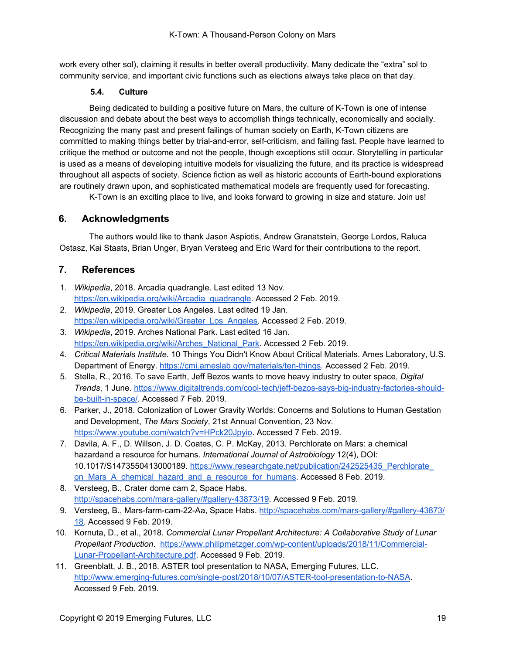work every other sol), claiming it results in better overall productivity. Many dedicate the "extra" sol to community service, and important civic functions such as elections always take place on that day.

### **5.4. Culture**

Being dedicated to building a positive future on Mars, the culture of K-Town is one of intense discussion and debate about the best ways to accomplish things technically, economically and socially. Recognizing the many past and present failings of human society on Earth, K-Town citizens are committed to making things better by trial-and-error, self-criticism, and failing fast. People have learned to critique the method or outcome and not the people, though exceptions still occur. Storytelling in particular is used as a means of developing intuitive models for visualizing the future, and its practice is widespread throughout all aspects of society. Science fiction as well as historic accounts of Earth-bound explorations are routinely drawn upon, and sophisticated mathematical models are frequently used for forecasting.

K-Town is an exciting place to live, and looks forward to growing in size and stature. Join us!

# **6. Acknowledgments**

The authors would like to thank Jason Aspiotis, Andrew Granatstein, George Lordos, Raluca Ostasz, Kai Staats, Brian Unger, Bryan Versteeg and Eric Ward for their contributions to the report.

# **7. References**

- 1. *Wikipedia*, 2018. Arcadia quadrangle. Last edited 13 Nov. [https://en.wikipedia.org/wiki/Arcadia\\_quadrangle.](https://en.wikipedia.org/wiki/Arcadia_quadrangle) Accessed 2 Feb. 2019.
- 2. *Wikipedia*, 2019. Greater Los Angeles. Last edited 19 Jan. [https://en.wikipedia.org/wiki/Greater\\_Los\\_Angeles.](https://en.wikipedia.org/wiki/Greater_Los_Angeles) Accessed 2 Feb. 2019.
- 3. *Wikipedia*, 2019. Arches National Park. Last edited 16 Jan. [https://en.wikipedia.org/wiki/Arches\\_National\\_Park.](https://en.wikipedia.org/wiki/Arches_National_Park) Accessed 2 Feb. 2019.
- 4. *Critical Materials Institute*. 10 Things You Didn't Know About Critical Materials. Ames Laboratory, U.S. Department of Energy. <https://cmi.ameslab.gov/materials/ten-things>. Accessed 2 Feb. 2019.
- 5. Stella, R., 2016. To save Earth, Jeff Bezos wants to move heavy industry to outer space, *Digital Trends*, 1 June. [https://www.digitaltrends.com/cool-tech/jeff-bezos-says-big-industry-factories-should](https://www.digitaltrends.com/cool-tech/jeff-bezos-says-big-industry-factories-should-be-built-in-space/)[be-built-in-space/](https://www.digitaltrends.com/cool-tech/jeff-bezos-says-big-industry-factories-should-be-built-in-space/). Accessed 7 Feb. 2019.
- 6. Parker, J., 2018. Colonization of Lower Gravity Worlds: Concerns and Solutions to Human Gestation and Development, *The Mars Society*, 21st Annual Convention, 23 Nov. <https://www.youtube.com/watch?v=HPck20Jpyio>. Accessed 7 Feb. 2019.
- 7. Davila, A. F., D. Willson, J. D. Coates, C. P. McKay, 2013. Perchlorate on Mars: a chemical hazardand a resource for humans. *International Journal of Astrobiology* 12(4), DOI: 10.1017/S1473550413000189. [https://www.researchgate.net/publication/242525435\\_Perchlorate\\_](https://www.researchgate.net/publication/242525435_Perchlorate_on_Mars_A_chemical_hazard_and_a_resource_for_humans) on Mars A chemical hazard and a resource for humans. Accessed 8 Feb. 2019.
- 8. Versteeg, B., Crater dome cam 2, Space Habs. [http://spacehabs.com/mars-gallery/#gallery-43873/19.](http://spacehabs.com/mars-gallery/#gallery-43873/19) Accessed 9 Feb. 2019.
- 9. Versteeg, B., Mars-farm-cam-22-Aa, Space Habs. [http://spacehabs.com/mars-gallery/#gallery-43873/](http://spacehabs.com/mars-gallery/#gallery-43873/18) [18](http://spacehabs.com/mars-gallery/#gallery-43873/18). Accessed 9 Feb. 2019.
- 10. Kornuta, D., et al., 2018. *Commercial Lunar Propellant Architecture: A Collaborative Study of Lunar Propellant Production*. [https://www.philipmetzger.com/wp-content/uploads/2018/11/Commercial-](https://www.philipmetzger.com/wp-content/uploads/2018/11/Commercial-Lunar-Propellant-Architecture.pdf)[Lunar-Propellant-Architecture.pdf](https://www.philipmetzger.com/wp-content/uploads/2018/11/Commercial-Lunar-Propellant-Architecture.pdf). Accessed 9 Feb. 2019.
- 11. Greenblatt, J. B., 2018. ASTER tool presentation to NASA, Emerging Futures, LLC. <http://www.emerging-futures.com/single-post/2018/10/07/ASTER-tool-presentation-to-NASA>. Accessed 9 Feb. 2019.